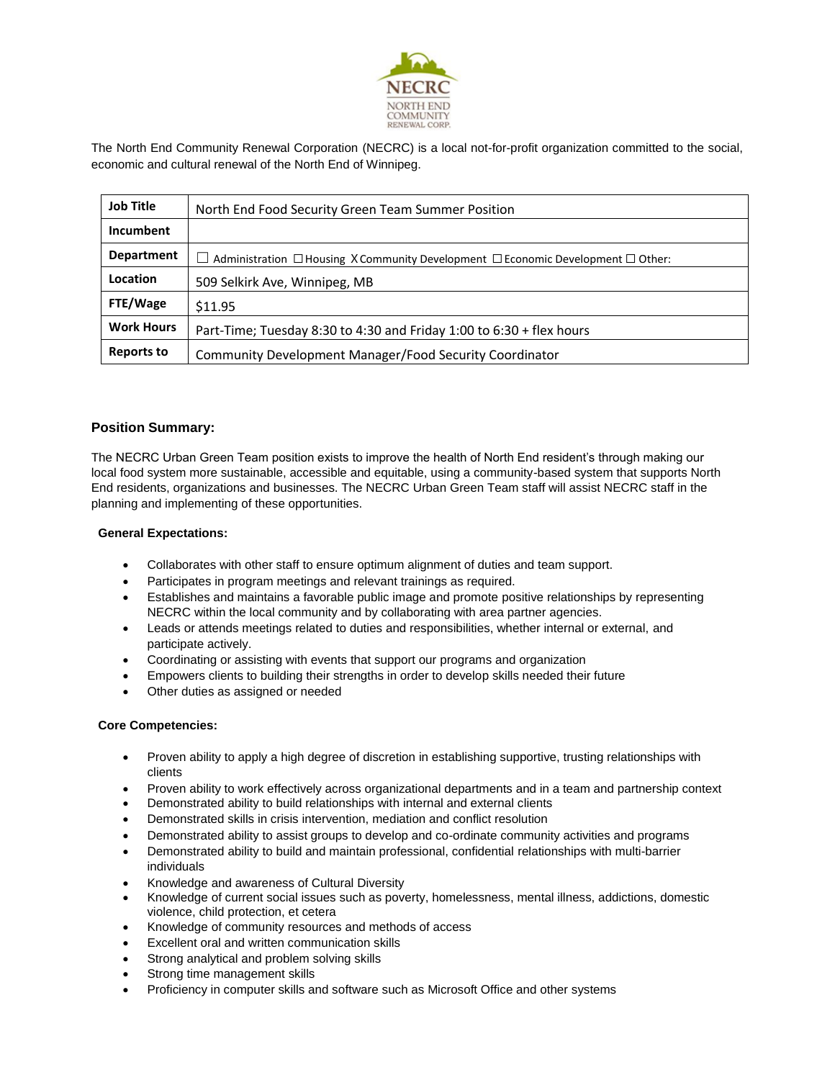

The North End Community Renewal Corporation (NECRC) is a local not-for-profit organization committed to the social, economic and cultural renewal of the North End of Winnipeg.

| <b>Job Title</b>  | North End Food Security Green Team Summer Position                                              |
|-------------------|-------------------------------------------------------------------------------------------------|
| Incumbent         |                                                                                                 |
| Department        | Administration $\Box$ Housing X Community Development $\Box$ Economic Development $\Box$ Other: |
| Location          | 509 Selkirk Ave, Winnipeg, MB                                                                   |
| FTE/Wage          | \$11.95                                                                                         |
| <b>Work Hours</b> | Part-Time; Tuesday 8:30 to 4:30 and Friday 1:00 to $6:30 +$ flex hours                          |
| <b>Reports to</b> | Community Development Manager/Food Security Coordinator                                         |

## **Position Summary:**

The NECRC Urban Green Team position exists to improve the health of North End resident's through making our local food system more sustainable, accessible and equitable, using a community-based system that supports North End residents, organizations and businesses. The NECRC Urban Green Team staff will assist NECRC staff in the planning and implementing of these opportunities.

#### **General Expectations:**

- Collaborates with other staff to ensure optimum alignment of duties and team support.
- Participates in program meetings and relevant trainings as required.
- Establishes and maintains a favorable public image and promote positive relationships by representing NECRC within the local community and by collaborating with area partner agencies.
- Leads or attends meetings related to duties and responsibilities, whether internal or external, and participate actively.
- Coordinating or assisting with events that support our programs and organization
- Empowers clients to building their strengths in order to develop skills needed their future
- Other duties as assigned or needed

#### **Core Competencies:**

- Proven ability to apply a high degree of discretion in establishing supportive, trusting relationships with clients
- Proven ability to work effectively across organizational departments and in a team and partnership context
- Demonstrated ability to build relationships with internal and external clients
- Demonstrated skills in crisis intervention, mediation and conflict resolution
- Demonstrated ability to assist groups to develop and co-ordinate community activities and programs
- Demonstrated ability to build and maintain professional, confidential relationships with multi-barrier individuals
- Knowledge and awareness of Cultural Diversity
- Knowledge of current social issues such as poverty, homelessness, mental illness, addictions, domestic violence, child protection, et cetera
- Knowledge of community resources and methods of access
- Excellent oral and written communication skills
- Strong analytical and problem solving skills
- Strong time management skills
- Proficiency in computer skills and software such as Microsoft Office and other systems